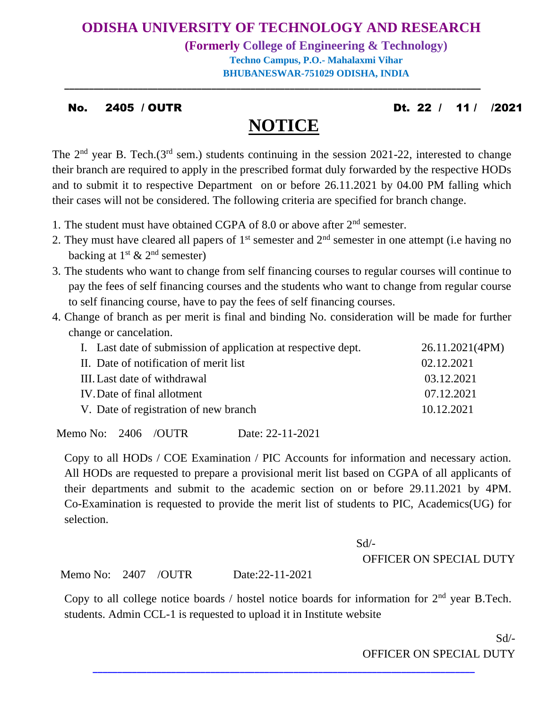# **ODISHA UNIVERSITY OF TECHNOLOGY AND RESEARCH**

**(Formerly College of Engineering & Technology) Techno Campus, P.O.- Mahalaxmi Vihar BHUBANESWAR-751029 ODISHA, INDIA**

#### No. 2405 / OUTR Dt. 22 / 11 / /2021

# **NOTICE**

**\_\_\_\_\_\_\_\_\_\_\_\_\_\_\_\_\_\_\_\_\_\_\_\_\_\_\_\_\_\_\_\_\_\_\_\_\_\_\_\_\_\_\_\_\_\_\_\_\_\_\_\_\_\_\_\_\_\_\_\_\_\_\_\_\_\_\_\_\_\_\_\_\_\_\_\_\_\_\_\_\_\_\_\_\_**

The 2<sup>nd</sup> year B. Tech.(3<sup>rd</sup> sem.) students continuing in the session 2021-22, interested to change their branch are required to apply in the prescribed format duly forwarded by the respective HODs and to submit it to respective Department on or before 26.11.2021 by 04.00 PM falling which their cases will not be considered. The following criteria are specified for branch change.

- 1. The student must have obtained CGPA of 8.0 or above after 2<sup>nd</sup> semester.
- 2. They must have cleared all papers of  $1<sup>st</sup>$  semester and  $2<sup>nd</sup>$  semester in one attempt (i.e having no backing at  $1<sup>st</sup>$  &  $2<sup>nd</sup>$  semester)
- 3. The students who want to change from self financing courses to regular courses will continue to pay the fees of self financing courses and the students who want to change from regular course to self financing course, have to pay the fees of self financing courses.
- 4. Change of branch as per merit is final and binding No. consideration will be made for further change or cancelation.

| I. Last date of submission of application at respective dept. | 26.11.2021(4PM) |
|---------------------------------------------------------------|-----------------|
| II. Date of notification of merit list                        | 02.12.2021      |
| III. Last date of withdrawal                                  | 03.12.2021      |
| IV. Date of final allotment                                   | 07.12.2021      |
| V. Date of registration of new branch                         | 10.12.2021      |

Memo No: 2406 /OUTR Date: 22-11-2021

Copy to all HODs / COE Examination / PIC Accounts for information and necessary action. All HODs are requested to prepare a provisional merit list based on CGPA of all applicants of their departments and submit to the academic section on or before 29.11.2021 by 4PM. Co-Examination is requested to provide the merit list of students to PIC, Academics(UG) for selection.

#### Sd/-

#### OFFICER ON SPECIAL DUTY

Memo No: 2407 /OUTR Date:22-11-2021

Copy to all college notice boards / hostel notice boards for information for  $2<sup>nd</sup>$  year B.Tech. students. Admin CCL-1 is requested to upload it in Institute website

**\_\_\_\_\_\_\_\_\_\_\_\_\_\_\_\_\_\_\_\_\_\_\_\_\_\_\_\_\_\_\_\_\_\_\_\_\_\_\_\_\_\_\_\_\_\_\_\_\_\_\_\_\_\_\_\_\_\_\_\_\_\_\_\_\_\_\_\_\_\_\_\_\_\_\_\_\_\_**